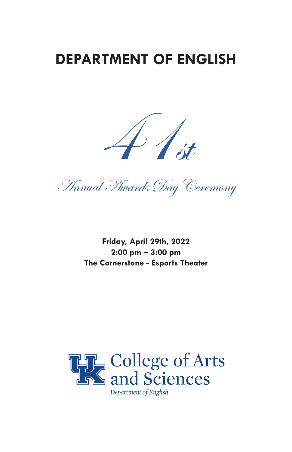### **DEPARTMENT OF ENGLISH**



Annual Awards Day Ceremony

**Friday, April 29th, 2022 2:00 pm – 3:00 pm The Cornerstone - Esports Theater**

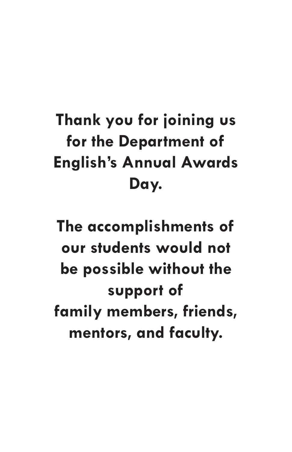# **Thank you for joining us for the Department of English's Annual Awards Day.**

**The accomplishments of our students would not be possible without the support of family members, friends, mentors, and faculty.**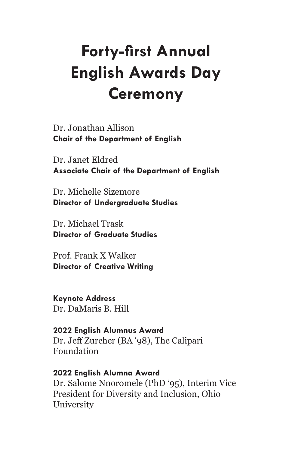## **Forty-first Annual English Awards Day Ceremony**

Dr. Jonathan Allison **Chair of the Department of English**

Dr. Janet Eldred **Associate Chair of the Department of English**

Dr. Michelle Sizemore **Director of Undergraduate Studies**

Dr. Michael Trask **Director of Graduate Studies**

Prof. Frank X Walker **Director of Creative Writing**

**Keynote Address** Dr. DaMaris B. Hill

**2022 English Alumnus Award** Dr. Jeff Zurcher (BA '98), The Calipari Foundation

**2022 English Alumna Award** Dr. Salome Nnoromele (PhD '95), Interim Vice President for Diversity and Inclusion, Ohio **University**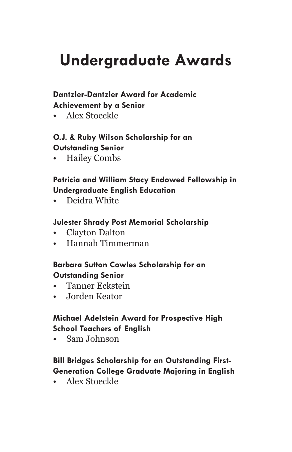## **Undergraduate Awards**

#### **Dantzler-Dantzler Award for Academic**

#### **Achievement by a Senior**

• Alex Stoeckle

#### **O.J. & Ruby Wilson Scholarship for an Outstanding Senior**

• Hailey Combs

#### **Patricia and William Stacy Endowed Fellowship in Undergraduate English Education**

• Deidra White

#### **Julester Shrady Post Memorial Scholarship**

- Clayton Dalton
- Hannah Timmerman

#### **Barbara Sutton Cowles Scholarship for an Outstanding Senior**

- Tanner Eckstein
- Jorden Keator

#### **Michael Adelstein Award for Prospective High School Teachers of English**

• Sam Johnson

#### **Bill Bridges Scholarship for an Outstanding First-Generation College Graduate Majoring in English**

• Alex Stoeckle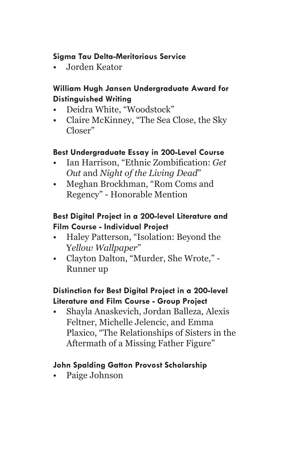#### **Sigma Tau Delta-Meritorious Service**

• Jorden Keator

#### **William Hugh Jansen Undergraduate Award for Distinguished Writing**

- Deidra White, "Woodstock"
- Claire McKinney, "The Sea Close, the Sky Closer"

#### **Best Undergraduate Essay in 200-Level Course**

- Ian Harrison, "Ethnic Zombification: *Get Out* and *Night of the Living Dead*"
- Meghan Brockhman, "Rom Coms and Regency" - Honorable Mention

#### **Best Digital Project in a 200-level Literature and Film Course - Individual Project**

- Haley Patterson, "Isolation: Beyond the Y*ellow Wallpaper*"
- Clayton Dalton, "Murder, She Wrote," Runner up

#### **Distinction for Best Digital Project in a 200-level Literature and Film Course - Group Project**

• Shayla Anaskevich, Jordan Balleza, Alexis Feltner, Michelle Jelencic, and Emma Plaxico, "The Relationships of Sisters in the Aftermath of a Missing Father Figure"

#### **John Spalding Gatton Provost Scholarship**

Paige Johnson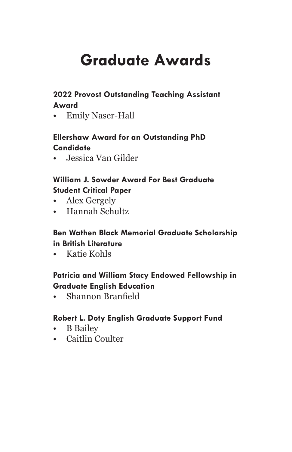## **Graduate Awards**

#### **2022 Provost Outstanding Teaching Assistant Award**

• Emily Naser-Hall

#### **Ellershaw Award for an Outstanding PhD Candidate**

• Jessica Van Gilder

#### **William J. Sowder Award For Best Graduate Student Critical Paper**

- Alex Gergely
- Hannah Schultz

#### **Ben Wathen Black Memorial Graduate Scholarship in British Literature**

• Katie Kohls

#### **Patricia and William Stacy Endowed Fellowship in Graduate English Education**

• Shannon Branfield

#### **Robert L. Doty English Graduate Support Fund**

- B Bailey
- Caitlin Coulter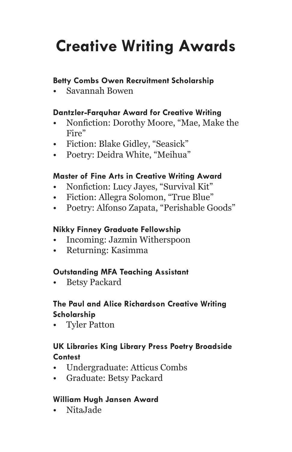# **Creative Writing Awards**

#### **Betty Combs Owen Recruitment Scholarship**

• Savannah Bowen

#### **Dantzler-Farquhar Award for Creative Writing**

- Nonfiction: Dorothy Moore, "Mae, Make the Fire"
- Fiction: Blake Gidley, "Seasick"
- Poetry: Deidra White, "Meihua"

#### **Master of Fine Arts in Creative Writing Award**

- Nonfiction: Lucy Jayes, "Survival Kit"
- Fiction: Allegra Solomon, "True Blue"
- Poetry: Alfonso Zapata, "Perishable Goods"

#### **Nikky Finney Graduate Fellowship**

- Incoming: Jazmin Witherspoon
- Returning: Kasimma

#### **Outstanding MFA Teaching Assistant**

• Betsy Packard

#### **The Paul and Alice Richardson Creative Writing Scholarship**

• Tyler Patton

#### **UK Libraries King Library Press Poetry Broadside Contest**

- Undergraduate: Atticus Combs
- Graduate: Betsy Packard

#### **William Hugh Jansen Award**

• NitaJade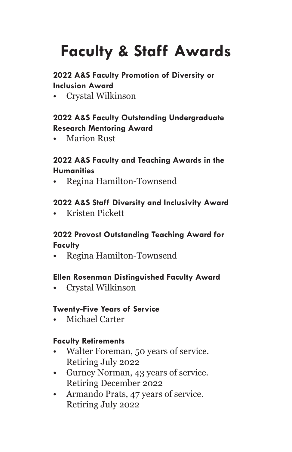# **Faculty & Staff Awards**

#### **2022 A&S Faculty Promotion of Diversity or Inclusion Award**

• Crystal Wilkinson

#### **2022 A&S Faculty Outstanding Undergraduate Research Mentoring Award**

• Marion Rust

#### **2022 A&S Faculty and Teaching Awards in the Humanities**

• Regina Hamilton-Townsend

#### **2022 A&S Staff Diversity and Inclusivity Award**

• Kristen Pickett

#### **2022 Provost Outstanding Teaching Award for Faculty**

• Regina Hamilton-Townsend

#### **Ellen Rosenman Distinguished Faculty Award**

• Crystal Wilkinson

#### **Twenty-Five Years of Service**

• Michael Carter

#### **Faculty Retirements**

- Walter Foreman, 50 years of service. Retiring July 2022
- Gurney Norman, 43 years of service. Retiring December 2022
- Armando Prats, 47 years of service. Retiring July 2022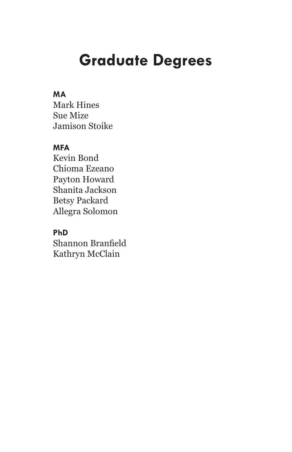### **Graduate Degrees**

#### **MA**

Mark Hines Sue Mize Jamison Stoike

#### **MFA**

Kevin Bond Chioma Ezeano Payton Howard Shanita Jackson Betsy Packard Allegra Solomon

#### **PhD**

Shannon Branfield Kathryn McClain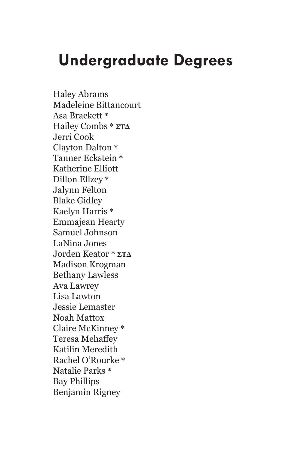### **Undergraduate Degrees**

Haley Abrams Madeleine Bittancourt Asa Brackett **\*** Hailey Combs **\* ΣΤΔ** Jerri Cook Clayton Dalton **\*** Tanner Eckstein **\*** Katherine Elliott Dillon Ellzey **\*** Jalynn Felton Blake Gidley Kaelyn Harris **\*** Emmajean Hearty Samuel Johnson LaNina Jones Jorden Keator **\* ΣΤΔ** Madison Krogman Bethany Lawless Ava Lawrey Lisa Lawton Jessie Lemaster Noah Mattox Claire McKinney **\*** Teresa Mehaffey Katilin Meredith Rachel O'Rourke **\*** Natalie Parks **\*** Bay Phillips Benjamin Rigney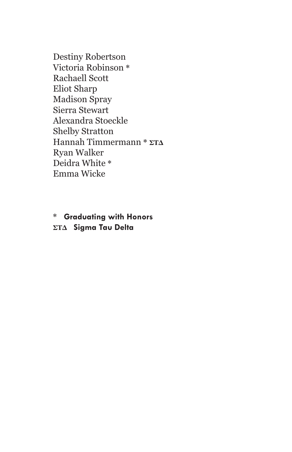Destiny Robertson Victoria Robinson **\*** Rachaell Scott Eliot Sharp Madison Spray Sierra Stewart Alexandra Stoeckle Shelby Stratton Hannah Timmermann **\* ΣΤΔ** Ryan Walker Deidra White **\*** Emma Wicke

**\* Graduating with Honors ΣΤΔ Sigma Tau Delta**